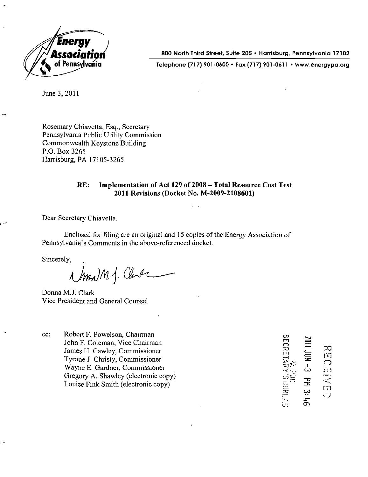

i 800 North Third Street, Suite 205 • Harrisburg, Pennsylvania 1710

of Pennsylvania Telephone (717) 901-0600 • Fax (717) 901-0611 • www.energypa.org

June 3, 2011

Rosemary Chiavetta, Esq., Secretary Pennsylvania Public Utility Commission Commonwealth Keystone Building P.O. Box 3265 Harrisburg, PA 17105-3265

#### **RE: Implementation of Act 129 of 2008 - Total Resource Cost Test 2011 Revisions (Docket No. M-2009-2108601)**

Dear Secretary Chiavetta,

Enclosed for filing are an original and 15 copies of the Energy Association of Pennsylvania's Comments in the above-referenced docket.

Sincerely,

main j. Clube Sincerely,

Donna M.J. Clark Vice President and General Counsel

cc: Robert F. Powelson, Chairman ^ John F. Coleman, Vice Chairman James H. Cawley, Commissioner Tyrone J. Christy, Commissioner ^ Wayne E. Gardner, Commissioner Gregory A. Shawley (electronic copy) Louise Fink Smith (electronic copy) g

 $\circ$   $\equiv$   $\equiv$ **ZD , TO**  ro  $\frac{1}{2}$ 군.<br>조 m<br>J دب  $\mathbf{r}$ ò,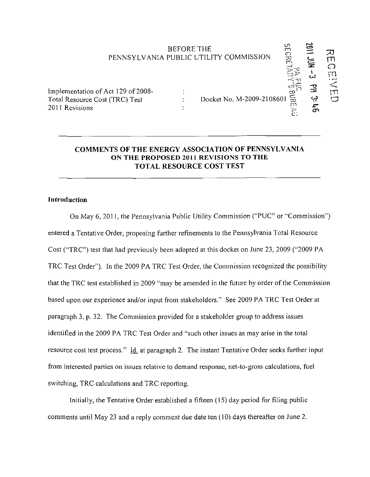# BEFORE THE PUBLIC UTILITY COMMISSION PENNSYLVANIA PUBLIC UTILITY COMMISSION  $\Xi$ - Z O CO i <sup>1</sup> OENED

Implementation of Act 129 of 2008- Total Resource Cost (TRC) Test 2011 Revisions

## Docket No. M-2009-2108601

 $\mathbb{R}^n \to \mathbb{R}^n$  $\mathbb{P}$  is real  $\mathbb{P}$ 

**cn** 

 $\epsilon$ 

## **COMMENTS OF THE ENERGY ASSOCIATION OF PENNSYLVANIA ON THE PROPOSED 2011 REVISIONS TO THE TOTAL RESOURCE COST TEST**

 $\ddot{\ddot{\psi}}$ 

## **Introduction**

On May 6. 2011. the Pennsylvania Public Utility Commission ("PUC" or "Commission") entered a Tentative Order, proposing further refinements to the Pennsylvania Total Resource Cost ("TRC") test that had previously been adopted at this docket on June 23, 2009 ("2009 PA TRC Test Order"). In the 2009 PA TRC Test Order, the Commission recognized the possibility that the TRC test established in 2009 "may be amended in the future by order of the Commission based upon our experience and/or input from stakeholders." See 2009 PA TRC Test Order at paragraph 3, p. 32. The Commission provided for a stakeholder group to address issues identified in the 2009 PA TRC Test Order and "such other issues as may arise in the total resource cost test process." Id. at paragraph 2. The instant Tentative Order seeks further input from interested parties on issues relative to demand response, net-to-gross calculations, fuel switching, TRC calculations and TRC reporting.

Initially, the Tentative Order established a fifteen (15) day period for filing public comments until May 23 and a reply comment due date ten (10) days thereafter on June 2.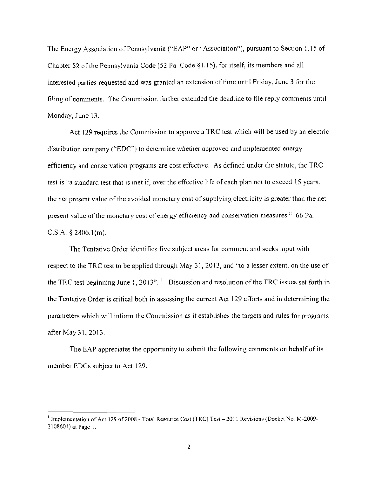The Energy Association of Pennsylvania ("EAP" or "Association"), pursuant to Section 1.15 of Chapter 52 of the Pennsylvania Code (52 Pa. Code §1.15), for itself, its members and all interested parties requested and was granted an extension of time until Friday, June 3 for the filing of comments. The Commission further extended the deadline to file reply comments until Monday, June 13.

Act 129 requires the Commission to approve a TRC test which will be used by an electric distribution company ("EDC") to detennine whether approved and implemented energy efficiency and conservation programs are cost effective. As defined under the statute, the TRC test is "a standard test that is met if. over the effective life of each plan not to exceed 15 years, the net present value of the avoided monetary cost of supplying electricity is greater than the net present value of the monetary cost of energy efficiency and conservation measures." 66 Pa. C.S.A.  $\S$  2806.1(m).

The Tentative Order identifies five subject areas for comment and seeks input with respect to the TRC test to be applied through May 31, 2013, and "to a lesser extent, on the use of the TRC test beginning June 1, 2013".  $\frac{1}{1}$  Discussion and resolution of the TRC issues set forth in the Tentative Order is critical both in assessing the current Act 129 efforts and in determining the parameters which will inform the Commission as it establishes the targets and rules for programs after May 31,2013.

The EAP appreciates the opportunity to submit the following comments on behalf of its member EDCs subject to Act 129.

<sup>&</sup>lt;sup>1</sup> Implementation of Act 129 of 2008 - Total Resource Cost (TRC) Test – 2011 Revisions (Docket No. M-2009-2108601) at Page 1.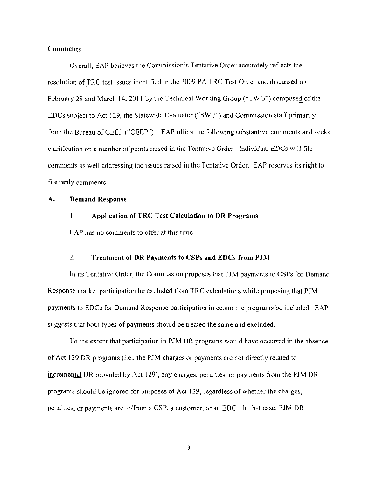#### **Comments**

**Overall. EAP believes the Commission's Tentative Order accurately reflects the resolution of TRC test issues identified in the 2009 PA TRC Test Order and discussed on February 28 and March 14, 2011 by the Technical Working Group ("TWG") composed of the EDCs subject to Act 129, the Statewide Evaluator ("SWE") and Commission staff primarily from the Bureau of CEEP ("CEEP"). EAP offers the following substantive comments and seeks clarification on a number of points raised in the Tentative Order. Individual EDCs will file comments as well addressing the issues raised in the Tentative Order. EAP reserves its right to file reply comments.** 

#### **A. Demand Response**

#### 1, Application of TRC Test Calculation to DR Programs

EAP has no comments to offer at this time.

#### **2, Treatment of DR Payments to CSPs and EDCs from PJM**

In its Tentative Order, the Commission proposes that PJM payments to CSPs for Demand Response market participation be excluded from TRC calculations while proposing that PJM payments to EDCs for Demand Response participation in economic programs be included. EAP suggests that both types of payments should be treated the same and excluded.

To the extent that participation in PJM DR programs would have occurred in the absence of Act 129 DR programs (i.e., the PJM charges or payments are not directly related to incremental DR provided by Act 129), any charges, penalties, or payments from the PJM DR programs should be ignored for purposes of Act 129, regardless of whether the charges, penalties, or payments are to/from a CSP, a customer, or an EDC. In that case, PJM DR

 $\overline{\mathbf{3}}$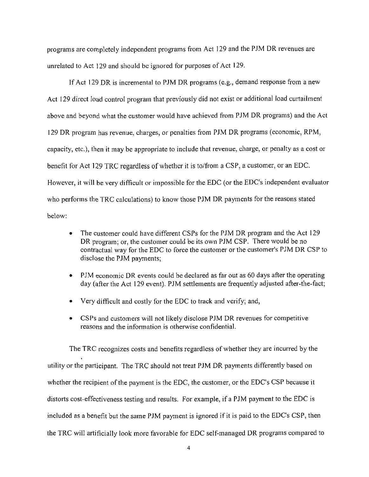programs are completely independent programs from Act 129 and the PJM DR revenues are unrelated to Act 129 and should be ignored for purposes of Act 129.

If Act 129 DR is incremental to PJM DR programs (e.g., demand response from a new Act 129 direct load control program that previously did not exist or additional load curtailment above and beyond what the customer would have achieved from PJM DR programs) and the Act 129 DR program has revenue, charges, or penalties from PJM DR programs (economic, RPM. capacity, etc.), then it may be appropriate to include that revenue, charge, or penalty as a cost or benefit for Act 129 TRC regardless of whether it is to/from a CSP, a customer, or an EDC. However, it will be very difficult or impossible for the EDC (or the EDC's independent evaluator who performs the TRC calculations) to know those PJM DR payments for the reasons stated below:

- The customer could have different CSPs for the PJM DR program and the Act 129 DR program: or. the customer could be its own PJM CSP. There would be no contractual way for the EDC to force the customer or the customer's PJM DR CSP to disclose the PJM payments;
- PJM economic DR events could be declared as far out as 60 days after the operating day (after the Act 129 event). PJM settlements are frequently adjusted after-the-fact;
- Very difficult and costly for the EDC to track and verify; and,
- CSPs and customers will not likely disclose PJM DR revenues for competitive reasons and the information is otherwise confidential.

The TRC recognizes costs and benefits regardless of whether they are incurred by the utility or the participant. The TRC should not treat PJM DR payments differently based on whether the recipient of the payment is the EDC, the customer, or the EDC's CSP because it distorts cost-effectiveness testing and results. For example, if a PJM payment to the EDC is included as a benefit but the same PJM payment is ignored if it is paid to the EDC's CSP, then the TRC will artificially look more favorable for EDC self-managed DR programs compared to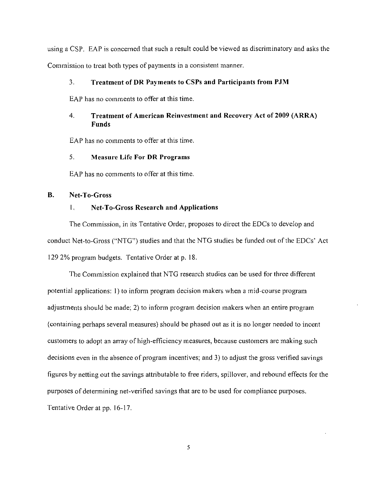using a CSP. EAP is concerned that such a result could be viewed as discriminatory and asks the Commission to treat both types of payments in a consistent manner.

#### 3. Treatment of DR Payments to CSPs and Participants from PJM

EAP has no comments to offer at this time.

## **4. Treatment of American Reinvestment and Recovery Act of 2009 (ARRA) Funds**

EAP has no comments to offer at this time.

#### 5. Measure Life For DR Programs

EAP has no comments to offer at this time.

#### **B. Net-To-Gross**

#### **1, Net-To-Gross Research and Applications**

The Commission, in its Tentative Order, proposes to direct the EDCs to develop and conduct Net-to-Gross ("NTG") studies and that the NTG studies be funded out of the EDCs' Act 129 2% program budgets. Tentative Order at p. 18.

The Commission explained that NTG research studies can be used for three different potential applications: 1) to inform program decision makers when a mid-course program adjustments should be made; 2) to infonn program decision makers when an entire program {containing perhaps several measures) should be phased out as it is no longer needed to incent customers to adopt an array of high-efficiency measures, because customers are making such decisions even in the absence of program incentives: and 3) to adjust the gross verified savings figures by netting out the savings attributable to free riders, spillover, and rebound effects for the purposes of detennining net-verified savings that are to be used for compliance purposes. Tentative Order at pp. 16-17.

5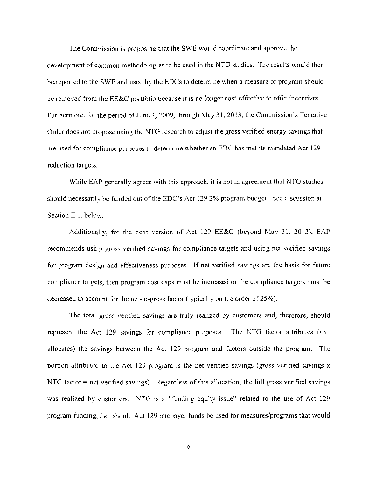The Commission is proposing that the SWE would coordinate and approve the development of common methodologies to be used in the NTG studies. The results would then be reported to the SWE and used by the EDCs to detennine when a measure or program should be removed from the EE&C portfolio because it is no longer cost-effective to offer incentives. Furthermore, for the period of June 1, 2009, through May 31, 2013, the Commission's Tentative Order does not propose using the NTG research to adjust the gross verified energy savings that are used for compliance purposes to determine whether an EDC has met its mandated Act 129 reduction targets.

While EAP generally agrees with this approach, it is not in agreement that NTG studies should necessarily be funded out of the EDC's Act 129 2% program budget. See discussion at Section E.l. below.

Additionally, for the next version of Act 129 EE&C (beyond May 31, 2013), EAP recommends using gross verified savings for compliance targets and using net verified savings for program design and effectiveness purposes. If net verified savings are the basis for future compliance targets, then program cost caps must be increased or the compliance targets must be decreased to account for the net-to-gross factor (typically on the order of 25%).

The total gross verified savings are truly realized by customers and, therefore, should represent the Act 129 savings for compliance purposes. The NTG factor attributes  $(i.e.,$ allocates) the savings between the Act 129 program and factors outside the program. The portion attributed to the Act 129 program is the net verified savings (gross verified savings x NTG factor = net verified savings). Regardless of this allocation, the full gross verified savings was realized by customers. NTG is a "funding equity issue" related to the use of Act 129 program funding, i.e., should Act 129 ratepayer funds be used for measures/programs that would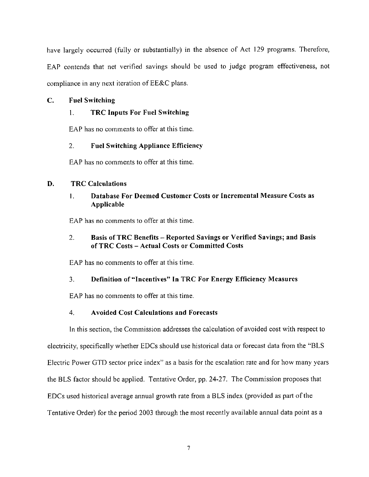have largely occurred (fully or substantially) in the absence of Act 129 programs. Therefore, EAP contends that net verified savings should be used to judge program effectiveness, not compliance in any next iteration of EE&C plans.

#### **C. Fuel Switching**

## **1. TRC Inputs For Fuel Switching**

EAP has no comments to offer at this time.

## **2. Fuel Switching Appliance Efficiency**

EAP has no comments to offer at this time.

#### **D. TRC Calculations**

## **1. Database For Deemed Customer Costs or Incremental Measure Costs as Applicable**

EAP has no comments to offer at this time.

## **2. Basis of TRC Benefits - Reported Savings or Verified Savings; and Basis of TRC Costs - Actual Costs or Committed Costs**

EAP has no comments to offer at this time.

## **3. Definition of "Incentives" In TRC For Energy Efficiency Measures**

EAP has no comments to offer at this time.

## **4. Avoided Cost Calculations and Forecasts**

In this section, the Commission addresses the calculation of avoided cost with respect to electricity, specifically whether EDCs should use historical data or forecast data from the "BLS Electric Power GTD sector price index" as a basis for the escalation rate and for how many years the BLS factor should be applied. Tentative Order, pp. 24-27. The Commission proposes that EDCs used historical average annual growth rate from a BLS index (provided as part of the Tentative Order) for the period 2003 through the most recently available annual data point as a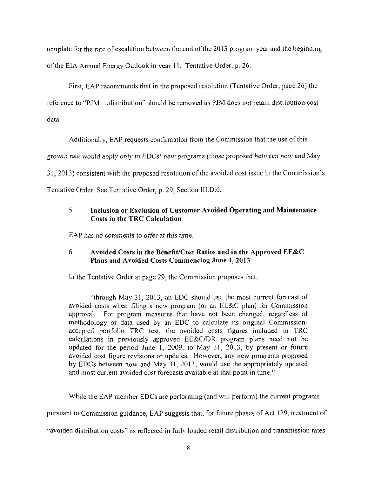template for the rate of escalation between the end of the 2013 program year and the beginning of the EIA Annual Energy Outlook in year 11. Tentative Order, p. 26.

First, EAP recommends that in the proposed resolution (Tentative Order, page 26) the reference to "PJM ...distribution" should be removed as PJM does not retain disfribution cost data.

Additionally, EAP requests confinnation from the Commission that the use of this

growth rate would apply only to EDCs' new programs (those proposed between now and May

31. 2013) consistent with the proposed resolution of the avoided cost issue in the Commission's

Tentative Order. See Tentative Order, p. 29, Section III.D.6.

## **5. Inclusion or Exclusion of Customer Avoided Operating and Maintenance Costs in the TRC Calculation**

EAP has no comments to offer at this time.

## **6. Avoided Costs in the Benefit/Cost Ratios and in the Approved EE&C Plans and Avoided Costs Commencing June I, 2013**

In the Tentative Order at page 29, the Commission proposes that,

"through May 31. 2013. an EDC should use the most current forecast of avoided costs when filing a new program (or an EE&C plan) for Commission approval. For program measures that have not been changed, regardless of methodology or data used by an EDC to calculate its original Commissionaccepted portfolio TRC test, the avoided costs figures included in TRC calculations in previously approved EE&C/DR program plans need not be updated for the period June 1, 2009, to May 31, 2013, by present or future avoided cost figure revisions or updates. However, any new programs proposed by EDCs between now and May 31, 2013. would use the appropriately updated and most current avoided cost forecasts available at that point in time."

While the EAP member EDCs are performing (and will perform) the current programs

pursuant to Commission guidance. EAP suggests that, for future phases of Act 129, treatment of

"avoided distribution costs" as reflected in fully loaded retail distribution and transmission rates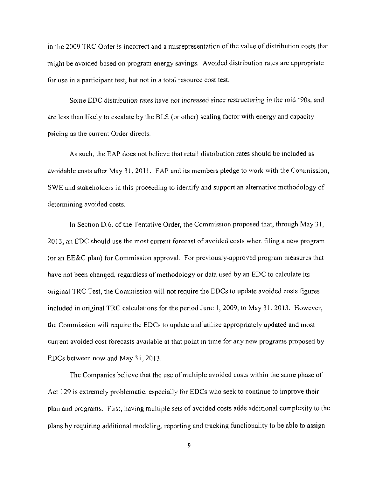in the 2009 TRC Order is incorrect and a misrepresentation of the value of distribution costs that might be avoided based on program energy savings. Avoided distribution rates are appropriate for use in a participant test, but not in a total resource cost test.

Some EDC distribution rates have not increased since restructuring in the mid '90s. and are less than likely to escalate by the BLS (or other) scaling factor with energy and capacity pricing as the current Order directs.

As such, the EAP does not believe that retail distribution rates should be included as avoidable costs after May 31. 2011. EAP and its members pledge to work with the Commission, SWE and stakeholders in this proceeding to identify and support an alternative methodology of determining avoided costs.

In Section D.6. of the Tentative Order, the Commission proposed that, through May 31, 2013, an EDC should use the most current forecast of avoided costs when filing a new program (or an EE&C plan) for Commission approval. For previously-approved program measures that have not been changed, regardless of methodology or data used by an EDC to calculate its original TRC Test, the Commission will not require the EDCs to update avoided costs figures included in original TRC calculations for the period June 1, 2009, to May 31, 2013. However, the Commission will require the EDCs to update and utilize appropriately updated and most current avoided cost forecasts available at that point in time for any new programs proposed by EDCs between now and May 31,2013.

The Companies believe that the use of multiple avoided costs within the same phase of Act 129 is extremely problematic, especially for EDCs who seek to continue to improve their plan and programs. First, having multiple sets of avoided costs adds additional complexity to the plans by requiring additional modeling, reporting and tracking functionality to be able to assign

 $\overline{9}$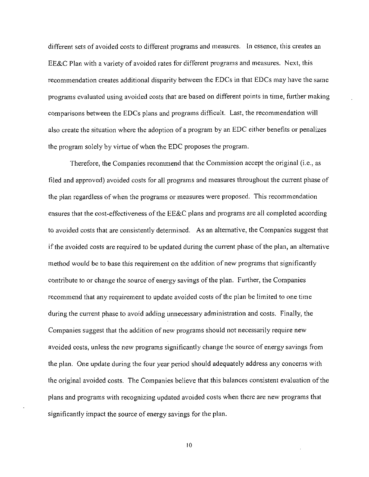different sets of avoided costs to different programs and measures. In essence, this creates an EE&C Plan with a variety of avoided rates for different programs and measures. Next, this recommendation creates additional disparity between the EDCs in that EDCs may have the same programs evaluated using avoided costs that are based on different points in time, further making comparisons between the EDCs plans and programs difficult. Last, the recommendation will also create the situation where the adoption of a program by an EDC either benefits or penalizes the program solely by virtue of when the EDC proposes the program.

Therefore, the Companies recommend that the Commission accept the original (i.e., as filed and approved) avoided costs for all programs and measures throughout the current phase of the plan regardless of when the programs or measures were proposed. This recommendation ensures that the cost-effectiveness of the EE&C plans and programs are all completed according to avoided costs that are consistently determined. As an alternative, the Companies suggest that if the avoided costs are required to be updated during the current phase of the plan, an alternative method would be to base this requirement on the addition of new programs that significantly contribute to or change the source of energy savings of the plan. Further, the Companies recommend that any requirement to update avoided costs of the plan be limited to one time during the current phase to avoid adding unnecessary administration and costs. Finally, the Companies suggest that the addition of new programs should not necessarily require new avoided costs, unless the new programs significantly change the source of energy savings from the plan. One update during the four year period should adequately address any concerns with the original avoided costs. The Companies believe that this balances consistent evaluation of the plans and programs with recognizing updated avoided costs when there are new programs that significantly impact the source of energy savings for the plan.

10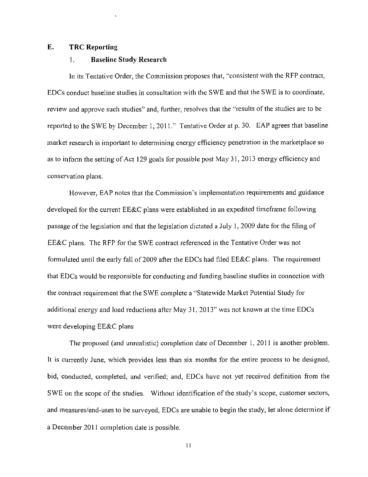#### **E. TRC Reporting**

#### **1. Baseline Study Research**

In its Tentative Order, the Commission proposes that, "consistent with the RFP contract, EDCs conduct baseline studies in consultation with the SWE and that the SWE is to coordinate, review and approve such studies" and. further, resolves that the "results of the studies are to be reported to the SWE by December 1, 2011." Tentative Order at p. 30. EAP agrees that baseline market research is important to detennining energy efficiency penetration in the marketplace so as to inform the setting of Act 129 goals for possible post May 31, 2013 energy efficiency and conservation plans.

However, EAP notes that the Commission's implementation requirements and guidance developed for the current EE&C plans were established in an expedited timeframe following passage of the legislation and that the legislation dictated a July 1, 2009 date for the filing of EE&C plans. The RFP for the SWE contract referenced in the Tentative Order was not formulated until the early fall of 2009 after the EDCs had filed EE&C plans. The requirement that EDCs would be responsible for conducting and funding baseline studies in connection with the contract requirement that the SWE complete a "Statewide Market Potential Study for additional energy and load reductions after May 31. 2013" was not known at the time EDCs were developing EE&C plans

The proposed (and unrealistic) completion date of December 1, 2011 is another problem. It is currently June, which provides less than six months for the entire process to be designed, bid. conducted, completed, and verified; and. EDCs have not yet received definition from the SWE on the scope of the studies. Without identification of the study's scope, customer sectors, and measures/end-uses to be surveyed, EDCs are unable to begin the study, let alone detennine if a December 2011 completion date is possible.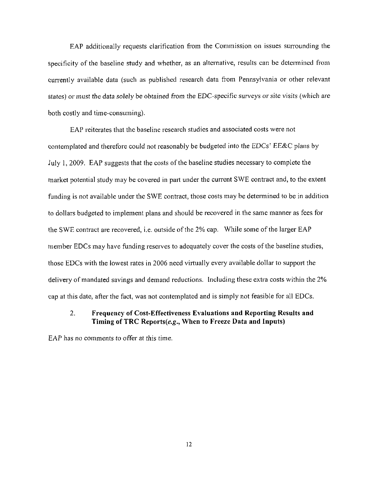EAP additionally requests clarification from the Commission on issues surrounding the specificity of the baseline study and whether, as an alternative, results can be determined from currently available data (such as published research data from Pennsylvania or other relevant states) or must the data solely be obtained from the EDC-specific surveys or site visits (which are both costly and time-consuming).

EAP reiterates that the baseline research studies and associated costs were not contemplated and therefore could not reasonably be budgeted into the EDCs' EE&C plans by July 1, 2009. EAP suggests that the costs of the baseline studies necessary to complete the market potential study may be covered in part under the current SWE contract and, to the extent funding is not available under the SWE contract, those costs may be determined to be in addition to dollars budgeted to implement plans and should be recovered in the same manner as fees for the SWE contract are recovered, i.e. outside of the 2% cap. While some of the larger EAP member EDCs may have funding reserves to adequately cover the costs of the baseline studies, those EDCs with the lowest rates in 2006 need virtually every available dollar to support the delivery of mandated savings and demand reductions. Including these extra costs within the 2% cap at this date, after the fact, was not contemplated and is simply not feasible for all EDCs.

## **2. Frequency of Cost-Effectiveness Evaluations and Reporting Results and Timing of TRC Reports(£.£., When to Freeze Data and Inputs)**

EAP has no comments to offer at this time.